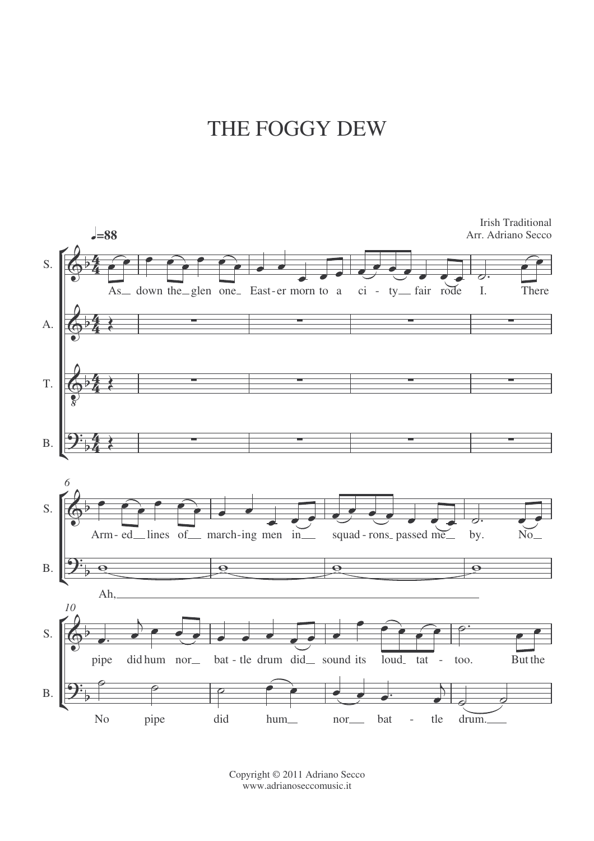## THE FOGGY DEW



Copyright © 2011 Adriano Secco www.adrianoseccomusic.it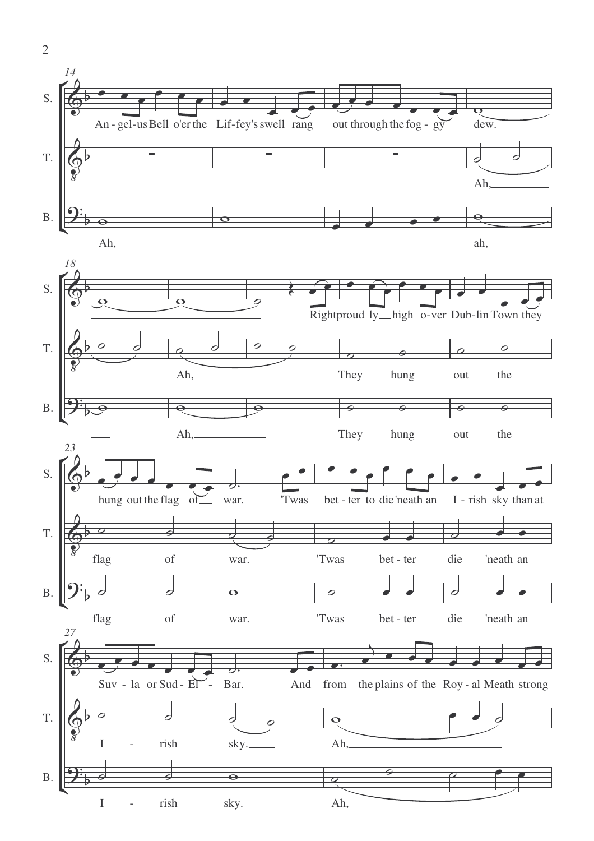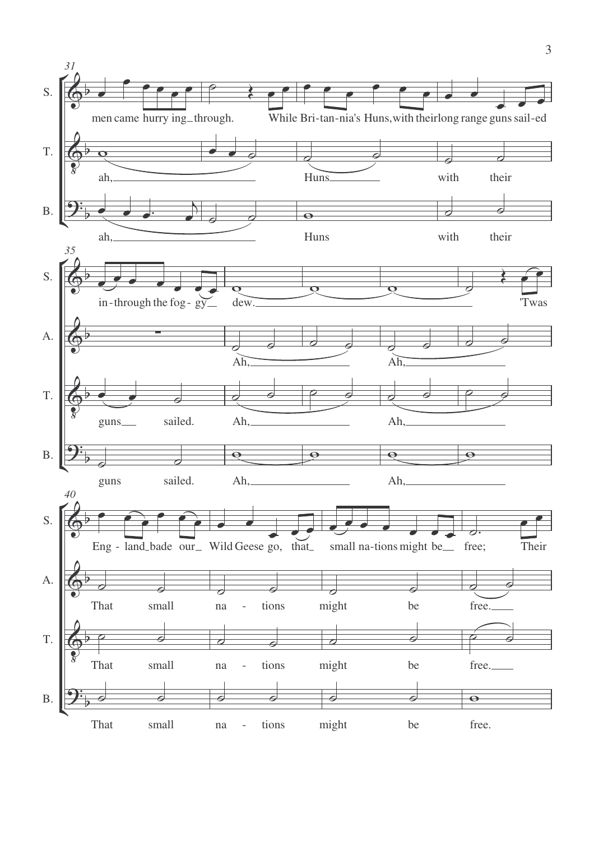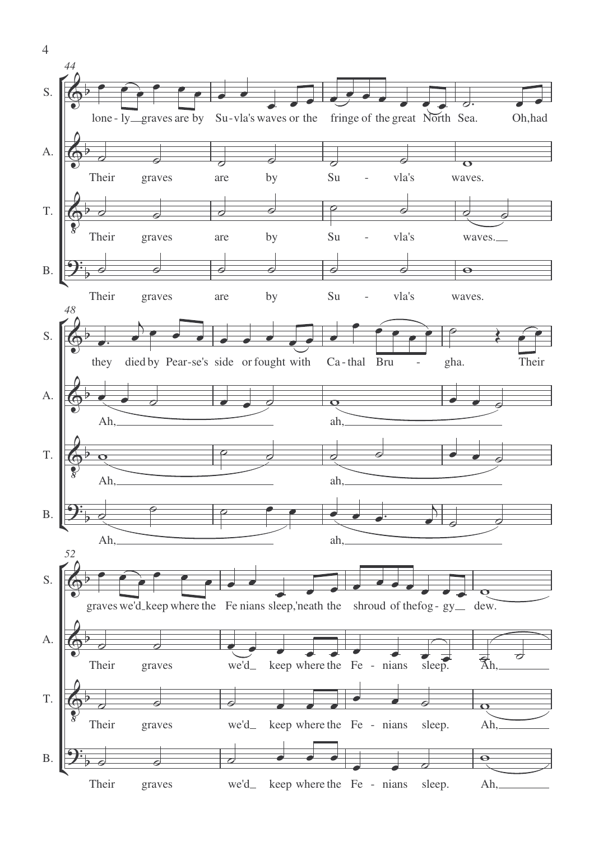

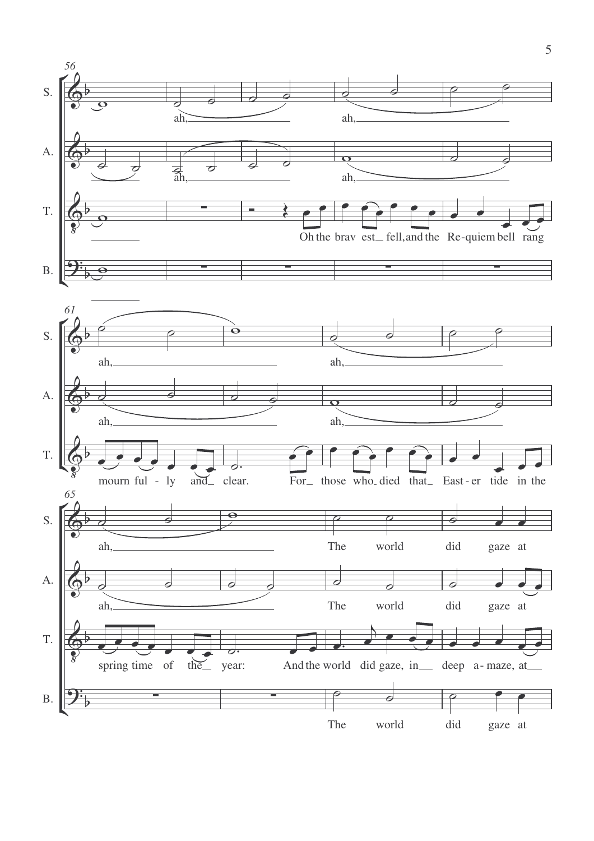